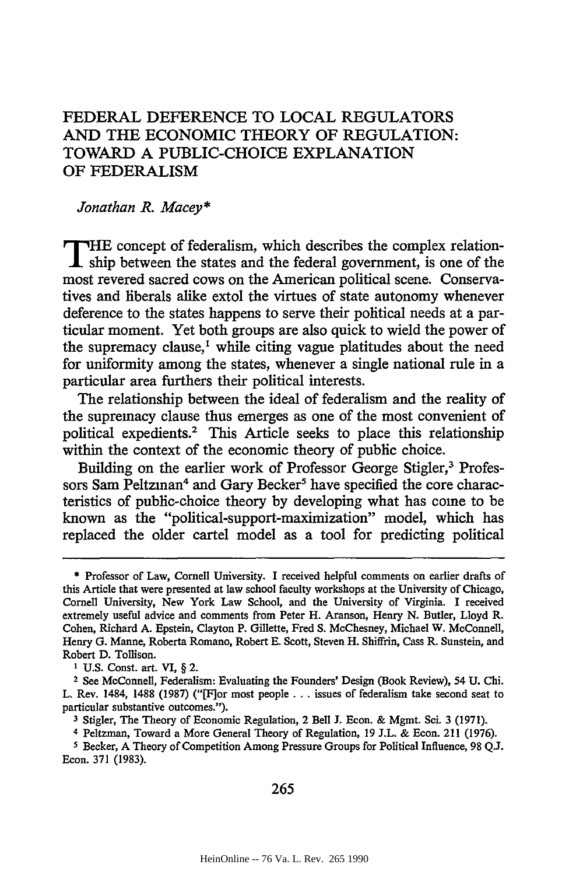# FEDERAL DEFERENCE TO LOCAL REGULATORS AND THE ECONOMIC THEORY OF REGULATION: TOWARD A PUBLIC-CHOICE EXPLANATION OF FEDERALISM

*Jonathan R. Macey\**

**HE** concept of federalism, which describes the complex relationship between the states and the federal government, is one of the most revered sacred cows on the American political scene. Conservatives and liberals alike extol the virtues of state autonomy whenever deference to the states happens to serve their political needs at a particular moment. Yet both groups are also quick to wield the power of the supremacy clause,' while citing vague platitudes about the need for uniformity among the states, whenever a single national rule in a particular area furthers their political interests.

The relationship between the ideal of federalism and the reality of the supremacy clause thus emerges as one of the most convenient of political expedients.2 This Article seeks to place this relationship within the context of the economic theory of public choice.

Building on the earlier work of Professor George Stigler,<sup>3</sup> Professors Sam Peltzman<sup>4</sup> and Gary Becker<sup>5</sup> have specified the core characteristics of public-choice theory by developing what has come to be known as the "political-support-maximization" model, which has replaced the older cartel model as a tool for predicting political

<sup>\*</sup> Professor of Law, Cornell University. I received helpful comments on earlier drafts of this Article that were presented at law school faculty workshops at the University of Chicago, Cornell University, New York Law School, and the University of Virginia. I received extremely useful advice and comments from Peter H. Aranson, Henry N. Butler, Lloyd R. Cohen, Richard A. Epstein, Clayton P. Gillette, Fred S. McChesney, Michael W. McConnell, Henry G. Manne, Roberta Romano, Robert E. Scott, Steven H. Shiffrin, Cass R. Sunstein, and Robert D. Tollison.

**I** U.S. Const. art. VI, § 2.

<sup>2</sup> See McConnell, Federalism: Evaluating the Founders' Design (Book Review), 54 U. Chi. L. Rev. 1484, 1488 (1987) ("[Flor most people **...** issues of federalism take second seat to particular substantive outcomes.").

**<sup>3</sup>** Stigler, The Theory of Economic Regulation, 2 Bell J. Econ. & Mgmt. Sci. 3 (1971).

<sup>4</sup>Peltzman, Toward a More General Theory of Regulation, 19 J.L. & Econ. 211 (1976).

**<sup>5</sup>** Becker, A Theory of Competition Among Pressure Groups for Political Influence, 98 Q.J. Econ. 371 (1983).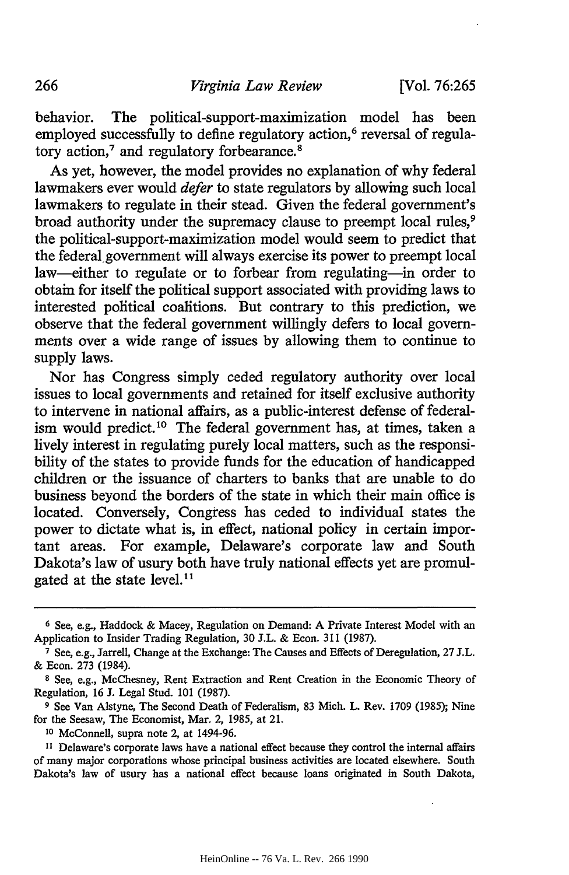behavior. The political-support-maximization model has been employed successfully to define regulatory action,<sup>6</sup> reversal of regulatory action,<sup>7</sup> and regulatory forbearance.<sup>8</sup>

As yet, however, the model provides no explanation of why federal lawmakers ever would *defer* to state regulators by allowing such local lawmakers to regulate in their stead. Given the federal government's broad authority under the supremacy clause to preempt local rules,<sup>9</sup> the political-support-maximization model would seem to predict that the federal government will always exercise its power to preempt local law-either to regulate or to forbear from regulating-in order to obtain for itself the political support associated with providing laws to interested political coalitions. But contrary to this prediction, we observe that the federal government willingly defers to local governments over a wide range of issues by allowing them to continue to supply laws.

Nor has Congress simply ceded regulatory authority over local issues to local governments and retained for itself exclusive authority to intervene in national affairs, as a public-interest defense of federalism would predict.<sup>10</sup> The federal government has, at times, taken a lively interest in regulating purely local matters, such as the responsibility of the states to provide funds for the education of handicapped children or the issuance of charters to banks that are unable to do business beyond the borders of the state in which their main office is located. Conversely, Congress has ceded to individual states the power to dictate what is, in effect, national policy in certain important areas. For example, Delaware's corporate law and South Dakota's law of usury both have truly national effects yet are promulgated at the state level.<sup>11</sup>

**<sup>6</sup>** See, e.g., Haddock & Macey, Regulation on Demand: A Private Interest Model with an Application to Insider Trading Regulation, 30 J.L. & Econ. 311 (1987).

**<sup>7</sup>** See, e.g., Jarrell, Change at the Exchange: The Causes and Effects of Deregulation, 27 J.L. & Econ. 273 (1984).

**<sup>8</sup>** See, e.g., McChesney, Rent Extraction and Rent Creation in the Economic Theory of Regulation, 16 J. Legal Stud. 101 (1987).

**<sup>9</sup>** See Van Alstyne, The Second Death of Federalism, 83 Mich. L. Rev. 1709 (1985); Nine for the Seesaw, The Economist, Mar. 2, 1985, at 21.

**<sup>10</sup>** McConnell, supra note 2, at 1494-96.

**<sup>11</sup>** Delaware's corporate laws have a national effect because they control the internal affairs of many major corporations whose principal business activities are located elsewhere. South Dakota's law of usury has a national effect because loans originated in South Dakota,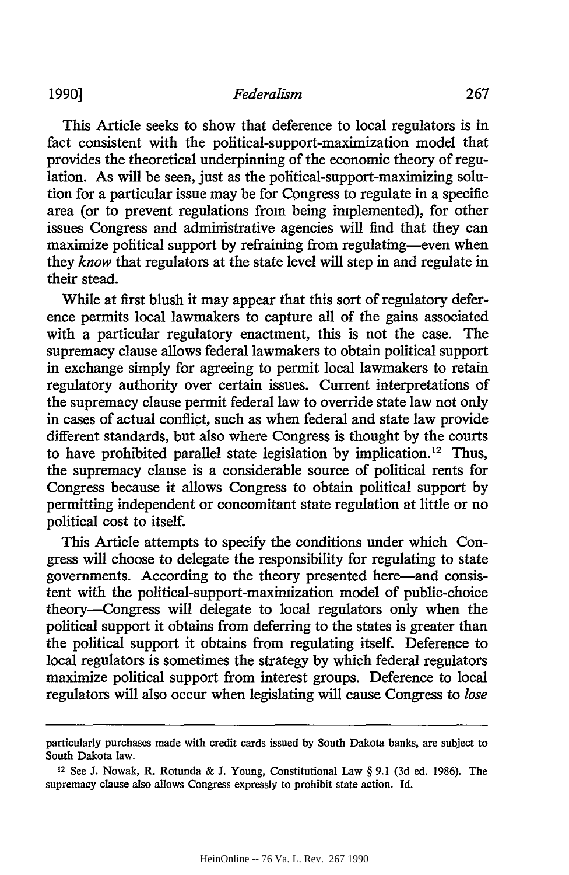**1990]**

#### *Federalism*

This Article seeks to show that deference to local regulators is in fact consistent with the political-support-maximization model that provides the theoretical underpinning of the economic theory of regulation. As will be seen, just as the political-support-maximizing solution for a particular issue may be for Congress to regulate in a specific area (or to prevent regulations from being implemented), for other issues Congress and administrative agencies will find that they can maximize political support by refraining from regulating—even when they *know* that regulators at the state level will step in and regulate in their stead.

While at first blush it may appear that this sort of regulatory deference permits local lawmakers to capture all of the gains associated with a particular regulatory enactment, this is not the case. The supremacy clause allows federal lawmakers to obtain political support in exchange simply for agreeing to permit local lawmakers to retain regulatory authority over certain issues. Current interpretations of the supremacy clause permit federal law to override state law not only in cases of actual conflict, such as when federal and state law provide different standards, but also where Congress is thought by the courts to have prohibited parallel state legislation by implication. 12 Thus, the supremacy clause is a considerable source of political rents for Congress because it allows Congress to obtain political support by permitting independent or concomitant state regulation at little or no political cost to itself.

This Article attempts to specify the conditions under which Congress will choose to delegate the responsibility for regulating to state governments. According to the theory presented here—and consistent with the political-support-maximization model of public-choice theory-Congress will delegate to local regulators only when the political support it obtains from deferring to the states is greater than the political support it obtains from regulating itself. Deference to local regulators is sometimes the strategy by which federal regulators maximize political support from interest groups. Deference to local regulators will also occur when legislating will cause Congress to *lose*

particularly purchases made with credit cards issued by South Dakota banks, are subject to South Dakota law.

<sup>12</sup>See **J.** Nowak, R. Rotunda & **J.** Young, Constitutional Law § **9.1** (3d ed. 1986). The supremacy clause also allows Congress expressly to prohibit state action. **Id.**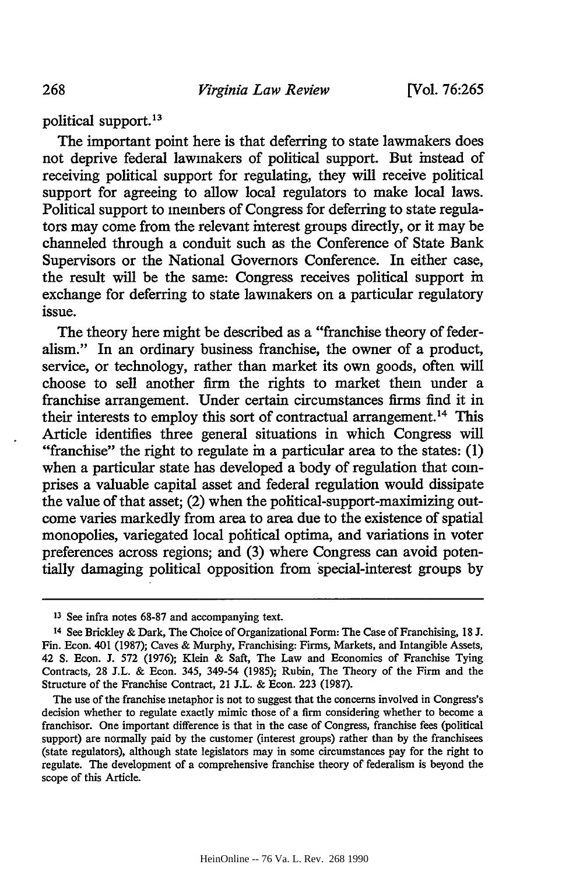political support. <sup>13</sup>

The important point here is that deferring to state lawmakers does not deprive federal lawmakers of political support. But instead of receiving political support for regulating, they will receive political support for agreeing to allow local regulators to make local laws. Political support to members of Congress for deferring to state regulators may come from the relevant interest groups directly, or it may be channeled through a conduit such as the Conference of State Bank Supervisors or the National Governors Conference. In either case, the result will be the same: Congress receives political support in exchange for deferring to state lawmakers on a particular regulatory issue.

The theory here might be described as a "franchise theory of federalism." In an ordinary business franchise, the owner of a product, service, or technology, rather than market its own goods, often will choose to sell another firm the rights to market them under a franchise arrangement. Under certain circumstances firms find it in their interests to employ this sort of contractual arrangement. 14 This Article identifies three general situations in which Congress will "franchise" the right to regulate in a particular area to the states: (1) when a particular state has developed a body of regulation that comprises a valuable capital asset and federal regulation would dissipate the value of that asset; (2) when the political-support-maximizing outcome varies markedly from area to area due to the existence of spatial monopolies, variegated local political optima, and variations in voter preferences across regions; and (3) where Congress can avoid potentially damaging political opposition from special-interest groups by

**<sup>13</sup>** See infra notes 68-87 and accompanying text.

<sup>14</sup> See Brickley & Dark, The Choice of Organizational Form: The Case of Franchising, 18 J. Fin. Econ. 401 (1987); Caves & Murphy, Franchising: Firms, Markets, and Intangible Assets, 42 S. Econ. J. 572 (1976); Klein & Saft, The Law and Economics of Franchise Tying Contracts, 28 J.L. & Econ. 345, 349-54 (1985); Rubin, The Theory of the Firm and the Structure of the Franchise Contract, 21 J.L. & Econ. 223 (1987).

The use of the franchise metaphor is not to suggest that the concerns involved in Congress's decision whether to regulate exactly mimic those of a firm considering whether to become a franchisor. One important difference is that in the case of Congress, franchise fees (political support) are normally paid by the customer (interest groups) rather than by the franchisees (state regulators), although state legislators may in some circumstances pay for the right to regulate. The development of a comprehensive franchise theory of federalism is beyond the scope of this Article.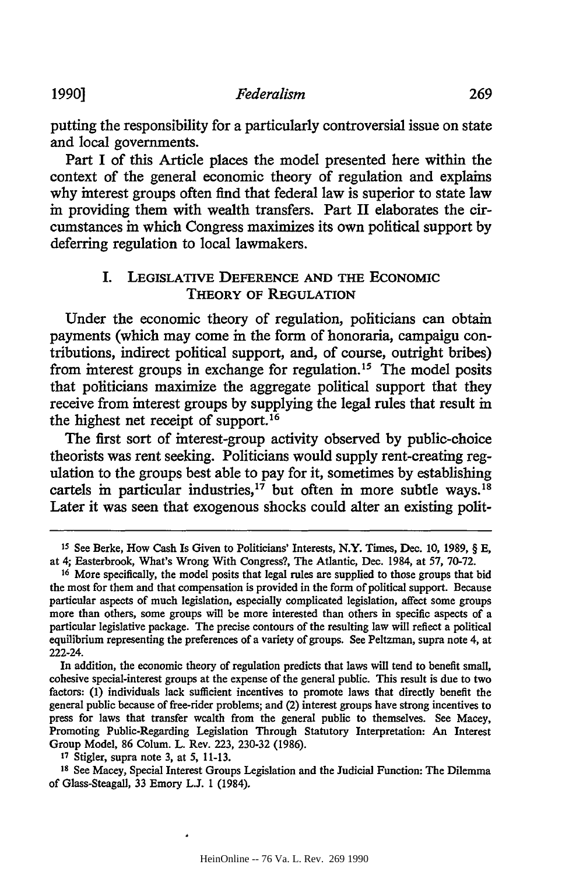putting the responsibility for a particularly controversial issue on state and local governments.

Part I of this Article places the model presented here within the context of the general economic theory of regulation and explains why interest groups often find that federal law is superior to state law in providing them with wealth transfers. Part II elaborates the circumstances in which Congress maximizes its own political support **by** deferring regulation to local lawmakers.

## I. LEGISLATIVE DEFERENCE AND THE ECONOMIC THEORY OF REGULATION

Under the economic theory of regulation, politicians can obtain payments (which may come in the form of honoraria, campaign contributions, indirect political support, and, of course, outright bribes) from interest groups in exchange for regulation.<sup>15</sup> The model posits that politicians maximize the aggregate political support that they receive from interest groups **by** supplying the legal rules that result in the highest net receipt of support.<sup>16</sup>

The first sort of interest-group activity observed **by** public-choice theorists was rent seeking. Politicians would supply rent-creating regulation to the groups best able to pay for it, sometimes **by** establishing cartels in particular industries,  $1^7$  but often in more subtle ways.  $1^8$ Later it was seen that exogenous shocks could alter an existing polit-

In addition, the economic theory of regulation predicts that laws will tend to benefit small, cohesive special-interest groups at the expense of the general public. This result is due to two factors: (1) individuals lack sufficient incentives to promote laws that directly benefit the general public because of free-rider problems; and (2) interest groups have strong incentives to press for laws that transfer wealth from the general public to themselves. See Macey, Promoting Public-Regarding Legislation Through Statutory Interpretation: An Interest Group Model, 86 Colum. L. Rev. 223, 230-32 (1986). **<sup>17</sup>**Stigler, supra note 3, at 5, 11-13.

**18** See Macey, Special Interest Groups Legislation and the Judicial Function: The Dilemma of Glass-Steagall, 33 Emory L.J. I (1984).

**<sup>15</sup>**See Berke, How Cash Is Given to Politicians' Interests, N.Y. Times, Dec. 10, 1989, § E, at 4; Easterbrook, What's Wrong With Congress?, The Atlantic, Dec. 1984, at 57, 70-72.

**<sup>16</sup>** More specifically, the model posits that legal rules are supplied to those groups that bid the most for them and that compensation is provided in the form of political support. Because particular aspects of much legislation, especially complicated legislation, affect some groups more than others, some groups will be more interested than others in specific aspects of a particular legislative package. The precise contours of the resulting law will reflect a political equilibrium representing the preferences of a variety of groups. See Peltzman, supra note 4, at 222-24.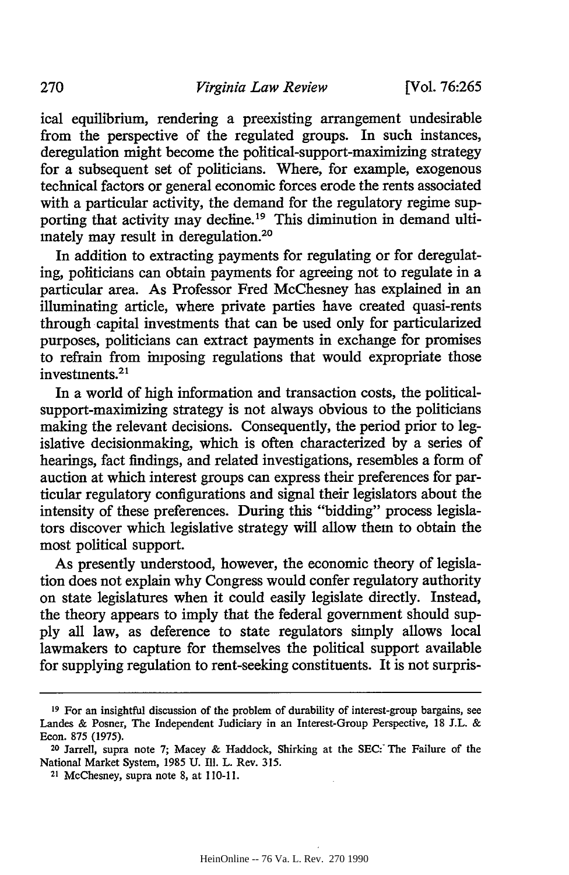ical equilibrium, rendering a preexisting arrangement undesirable from the perspective of the regulated groups. In such instances, deregulation might become the political-support-maximizing strategy for a subsequent set of politicians. Where, for example, exogenous technical factors or general economic forces erode the rents associated with a particular activity, the demand for the regulatory regime supporting that activity may decline.<sup>19</sup> This diminution in demand ultimately may result in deregulation.<sup>20</sup>

In addition to extracting payments for regulating or for deregulating, politicians can obtain payments for agreeing not to regulate in a particular area. As Professor Fred McChesney has explained in an illuminating article, where private parties have created quasi-rents through capital investments that can be used only for particularized purposes, politicians can extract payments in exchange for promises to refrain from imposing regulations that would expropriate those investments.<sup>21</sup>

In a world of high information and transaction costs, the politicalsupport-maximizing strategy is not always obvious to the politicians making the relevant decisions. Consequently, the period prior to legislative decisionmaking, which is often characterized by a series of hearings, fact findings, and related investigations, resembles a form of auction at which interest groups can express their preferences for particular regulatory configurations and signal their legislators about the intensity of these preferences. During this "bidding" process legislators discover which legislative strategy will allow them to obtain the most political support.

As presently understood, however, the economic theory of legislation does not explain why Congress would confer regulatory authority on state legislatures when it could easily legislate directly. Instead, the theory appears to imply that the federal government should supply all law, as deference to state regulators simply allows local lawmakers to capture for themselves the political support available for supplying regulation to rent-seeking constituents. It is not surpris-

**<sup>19</sup>** For an insightful discussion of the problem of durability of interest-group bargains, see Landes & Posner, The Independent Judiciary in an Interest-Group Perspective, 18 **J.L.** & Econ. 875 (1975).

<sup>20</sup>Jarrell, supra note 7; Macey & Haddock, Shirking at the SEC:' The Failure of the National Market System, 1985 U. Ill. L. Rev. 315.

<sup>21</sup> McChesney, supra note 8, at 110-11.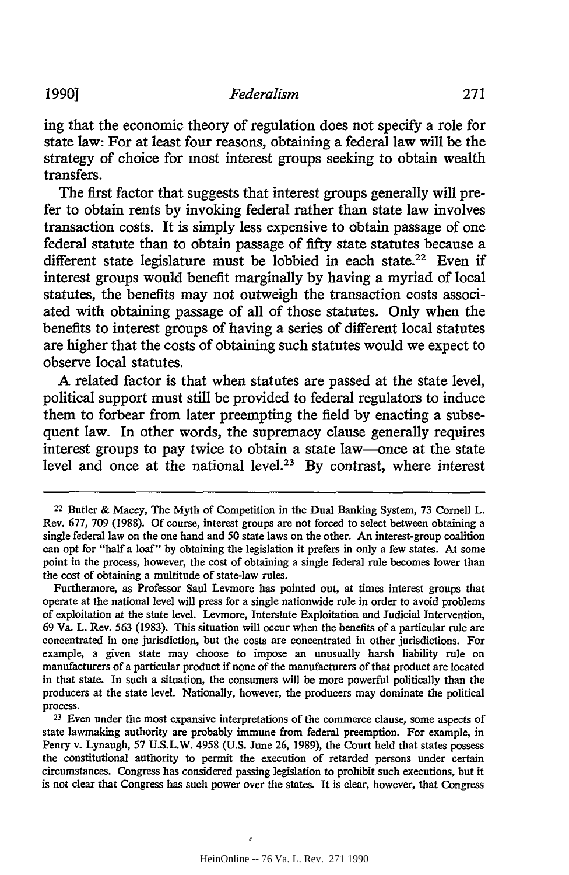ing that the economic theory of regulation does not specify a role for state law: For at least four reasons, obtaining a federal law will be the strategy of choice for most interest groups seeking to obtain wealth transfers.

The first factor that suggests that interest groups generally will prefer to obtain rents **by** invoking federal rather than state law involves transaction costs. It is simply less expensive to obtain passage of one federal statute than to obtain passage of **fifty** state statutes because a different state legislature must be lobbied in each state.<sup>22</sup> Even if interest groups would benefit marginally **by** having a myriad of local statutes, the benefits may not outweigh the transaction costs associated with obtaining passage of all of those statutes. Only when the benefits to interest groups of having a series of different local statutes are higher that the costs of obtaining such statutes would we expect to observe local statutes.

**A** related factor is that when statutes are passed at the state level, political support must still be provided to federal regulators to induce them to forbear from later preempting the field **by** enacting a subsequent law. In other words, the supremacy clause generally requires interest groups to pay twice to obtain a state law-once at the state level and once at the national level.<sup>23</sup> By contrast, where interest

<sup>22</sup>Butler & Macey, The Myth of Competition in the Dual Banking System, 73 Cornell L. Rev. 677, 709 (1988). Of course, interest groups are not forced to select between obtaining a single federal law on the one hand and 50 state laws on the other. An interest-group coalition can opt for "half a loaf" by obtaining the legislation it prefers in only a few states. At some point in the process, however, the cost of obtaining a single federal rule becomes lower than the cost of obtaining a multitude of state-law rules.

Furthermore, as Professor Saul Levmore has pointed out, at times interest groups that operate at the national level will press for a single nationwide rule in order to avoid problems of exploitation at the state level. Levmore, Interstate Exploitation and Judicial Intervention, 69 Va. L. Rev. 563 (1983). This situation will occur when the benefits of a particular rule are concentrated in one jurisdiction, but the costs are concentrated in other jurisdictions. For example, a given state may choose to impose an unusually harsh liability rule on manufacturers of a particular product if none of the manufacturers of that product are located in that state. In such a situation, the consumers will be more powerful politically than the producers at the state level. Nationally, however, the producers may dominate the political process.

**<sup>23</sup>** Even under the most expansive interpretations of the commerce clause, some aspects of state lawmaking authority are probably immune from federal preemption. For example, in Penry v. Lynaugh, 57 U.S.L.W. 4958 (U.S. June 26, 1989), the Court held that states possess the constitutional authority to permit the execution of retarded persons under certain circumstances. Congress has considered passing legislation to prohibit such executions, but it is not clear that Congress has such power over the states. It is clear, however, that Congress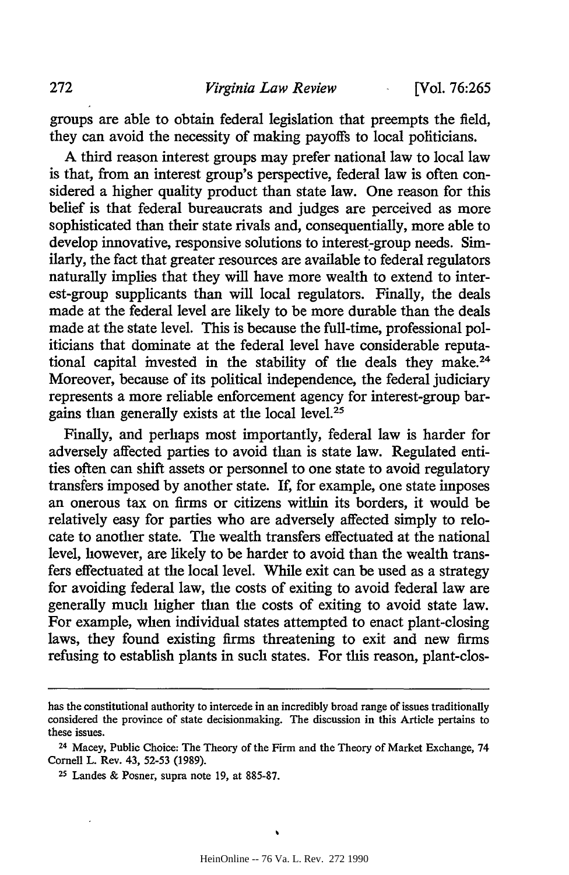groups are able to obtain federal legislation that preempts the field, they can avoid the necessity of making payoffs to local politicians.

A third reason interest groups may prefer national law to local law is that, from an interest group's perspective, federal law is often considered a higher quality product than state law. One reason for this belief is that federal bureaucrats and judges are perceived as more sophisticated than their state rivals and, consequentially, more able to develop innovative, responsive solutions to interest-group needs. Similarly, the fact that greater resources are available to federal regulators naturally implies that they will have more wealth to extend to interest-group supplicants than will local regulators. Finally, the deals made at the federal level are likely to be more durable than the deals made at the state level. This is because the full-time, professional politicians that dominate at the federal level have considerable reputational capital invested in the stability of the deals they make.<sup>24</sup> Moreover, because of its political independence, the federal judiciary represents a more reliable enforcement agency for interest-group bargains than generally exists at the local level.

Finally, and perhaps most importantly, federal law is harder for adversely affected parties to avoid than is state law. Regulated entities often can shift assets or personnel to one state to avoid regulatory transfers imposed by another state. If, for example, one state imposes an onerous tax on firms or citizens within its borders, it would be relatively easy for parties who are adversely affected simply to relocate to another state. The wealth transfers effectuated at the national level, however, are likely to be harder to avoid than the wealth transfers effectuated at the local level. While exit can be used as a strategy for avoiding federal law, the costs of exiting to avoid federal law are generally much higher than the costs of exiting to avoid state law. For example, when individual states attempted to enact plant-closing laws, they found existing firms threatening to exit and new firms refusing to establish plants in such states. For this reason, plant-clos-

 $\bullet$ 

has the constitutional authority to intercede in an incredibly broad range of issues traditionally considered the province of state decisionmaking. The discussion in this Article pertains to these issues.

<sup>24</sup>Macey, Public Choice: The Theory of the Firm and the Theory of Market Exchange, 74 Cornell L. Rev. 43, 52-53 (1989).

**<sup>25</sup>**Landes & Posner, supra note 19, at 885-87.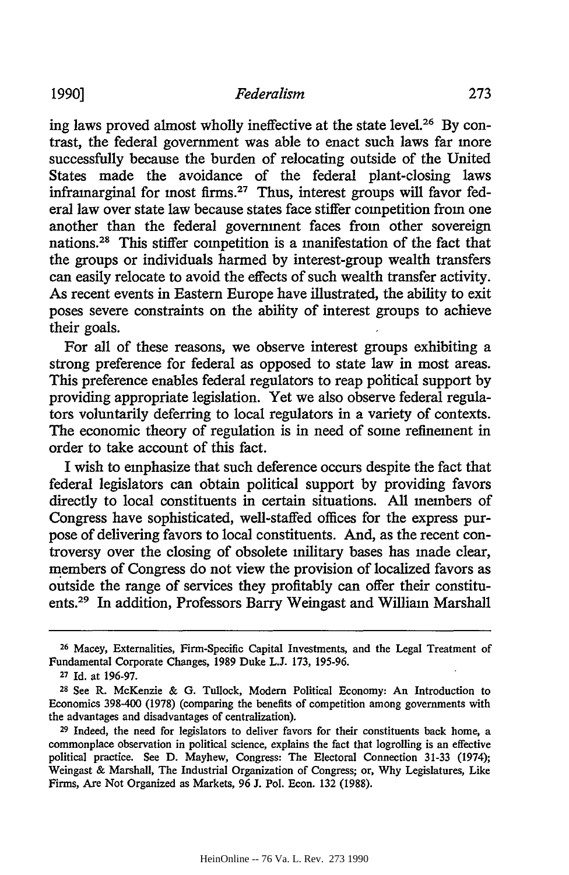ing laws proved almost wholly ineffective at the state level.<sup>26</sup> By contrast, the federal government was able to enact such laws far more successfully because the burden of relocating outside of the United States made the avoidance of the federal plant-closing laws inframarginal for most firms.<sup>27</sup> Thus, interest groups will favor federal law over state law because states face stiffer competition from one another than the federal government faces from other sovereign nations.<sup>28</sup> This stiffer competition is a manifestation of the fact that the groups or individuals harmed by interest-group wealth transfers can easily relocate to avoid the effects of such wealth transfer activity. As recent events in Eastern Europe have illustrated, the ability to exit poses severe constraints on the ability of interest groups to achieve their goals.

For all of these reasons, we observe interest groups exhibiting a strong preference for federal as opposed to state law in most areas. This preference enables federal regulators to reap political support by providing appropriate legislation. Yet we also observe federal regulators voluntarily deferring to local regulators in a variety of contexts. The economic theory of regulation is in need of some refinement in order to take account of this fact.

I wish to emphasize that such deference occurs despite the fact that federal legislators can obtain political support by providing favors directly to local constituents in certain situations. All members of Congress have sophisticated, well-staffed offices for the express purpose of delivering favors to local constituents. And, as the recent controversy over the closing of obsolete military bases has made clear, members of Congress do not view the provision of localized favors as outside the range of services they profitably can offer their constituents.<sup>29</sup> In addition, Professors Barry Weingast and William Marshall

**<sup>26</sup>**Macey, Externalities, Firm-Specific Capital Investments, and the Legal Treatment of Fundamental Corporate Changes, 1989 Duke L.J. 173, 195-96.

**<sup>27</sup>**Id. at 196-97.

**<sup>28</sup>**See R. McKenzie & G. Tullock, Modem Political Economy: An Introduction to Economics 398-400 (1978) (comparing the benefits of competition among governments with the advantages and disadvantages of centralization).

**<sup>29</sup>**Indeed, the need for legislators to deliver favors for their constituents back home, a commonplace observation in political science, explains the fact that logrolling is an effective political practice. See D. Mayhew, Congress: The Electoral Connection 31-33 (1974); Weingast & Marshall, The Industrial Organization of Congress; or, Why Legislatures, Like Firms, Are Not Organized as Markets, 96 J. Pol. Econ. 132 (1988).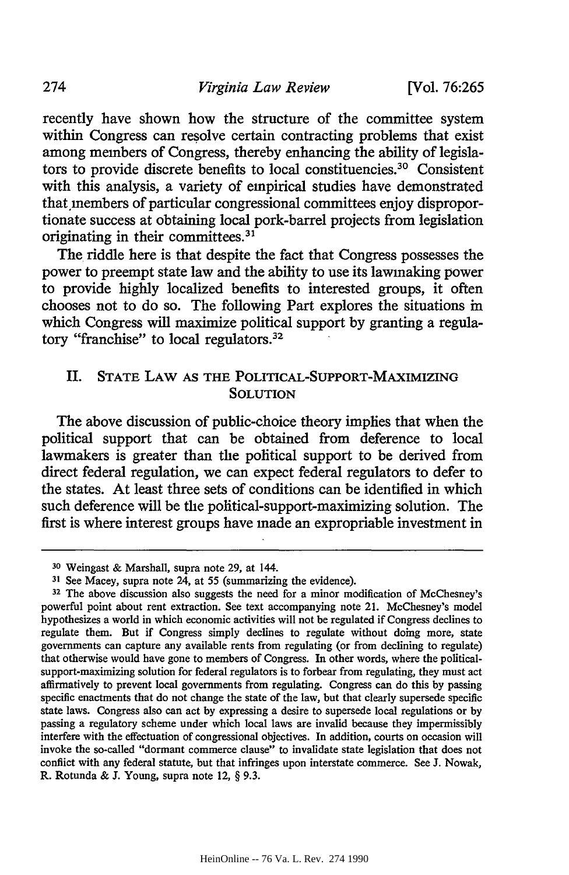recently have shown how the structure of the committee system within Congress can resolve certain contracting problems that exist among members of Congress, thereby enhancing the ability of legislators to provide discrete benefits to local constituencies.30 Consistent with this analysis, a variety of empirical studies have demonstrated that members of particular congressional committees enjoy disproportionate success at obtaining local pork-barrel projects from legislation originating in their committees.3'

The riddle here is that despite the fact that Congress possesses the power to preempt state law and the ability to use its lawmaking power to provide highly localized benefits to interested groups, it often chooses not to do so. The following Part explores the situations in which Congress will maximize political support by granting a regulatory "franchise" to local regulators.<sup>32</sup>

## **II.** STATE LAW AS THE POLITICAL-SUPPORT-MAXIMIZING SOLUTION

The above discussion of public-choice theory implies that when the political support that can be obtained from deference to local lawmakers is greater than the political support to be derived from direct federal regulation, we can expect federal regulators to defer to the states. At least three sets of conditions can be identified in which such deference will be the political-support-maximizing solution. The first is where interest groups have made an expropriable investment in

**<sup>30</sup>**Weingast & Marshall, supra note 29, at 144.

**<sup>31</sup>**See Macey, supra note 24, at 55 (summarizing the evidence).

**<sup>32</sup>**The above discussion also suggests the need for a minor modification of McChesney's powerful point about rent extraction. See text accompanying note 21. McChesney's model hypothesizes a world in which economic activities will not be regulated if Congress declines to regulate them. But if Congress simply declines to regulate without doing more, state governments can capture any available rents from regulating (or from declining to regulate) that otherwise would have gone to members of Congress. In other words, where the politicalsupport-maximizing solution for federal regulators is to forbear from regulating, they must act affirmatively to prevent local governments from regulating. Congress can do this by passing specific enactments that do not change the state of the law, but that clearly supersede specific state laws. Congress also can act by expressing a desire to supersede local regulations or by passing a regulatory scheme under which local laws are invalid because they impermissibly interfere with the effectuation of congressional objectives. In addition, courts on occasion will invoke the so-called "dormant commerce clause" to invalidate state legislation that does not conflict with any federal statute, but that infringes upon interstate commerce. See **J.** Nowak, R. Rotunda & J. Young, supra note 12, § 9.3.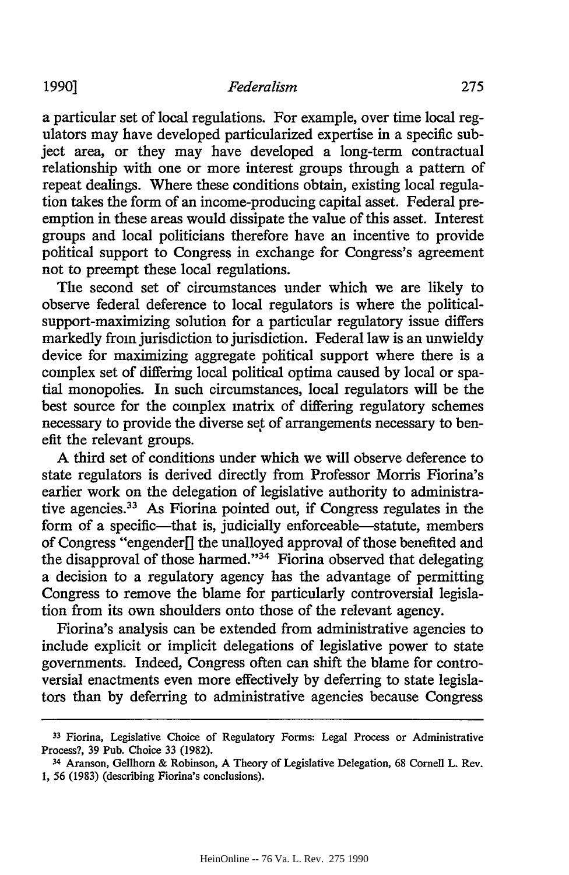a particular set of local regulations. For example, over time local regulators may have developed particularized expertise in a specific subject area, or they may have developed a long-term contractual relationship with one or more interest groups through a pattern of repeat dealings. Where these conditions obtain, existing local regulation takes the form of an income-producing capital asset. Federal preemption in these areas would dissipate the value of this asset. Interest groups and local politicians therefore have an incentive to provide political support to Congress in exchange for Congress's agreement not to preempt these local regulations.

The second set of circumstances under which we are likely to observe federal deference to local regulators is where the politicalsupport-maximizing solution for a particular regulatory issue differs markedly from jurisdiction to jurisdiction. Federal law is an unwieldy device for maximizing aggregate political support where there is a complex set of differing local political optima caused by local or spatial monopolies. In such circumstances, local regulators will be the best source for the complex matrix of differing regulatory schemes necessary to provide the diverse set of arrangements necessary to benefit the relevant groups.

A third set of conditions under which we will observe deference to state regulators is derived directly from Professor Morris Fiorina's earlier work on the delegation of legislative authority to administrative agencies.33 As Fiorina pointed out, if Congress regulates in the form of a specific—that is, judicially enforceable—statute, members of Congress "engenderfl the unalloyed approval of those benefited and the disapproval of those harmed." $34$  Fiorina observed that delegating a decision to a regulatory agency has the advantage of permitting Congress to remove the blame for particularly controversial legislation from its own shoulders onto those of the relevant agency.

Fiorina's analysis can be extended from administrative agencies to include explicit or implicit delegations of legislative power to state governments. Indeed, Congress often can shift the blame for controversial enactments even more effectively by deferring to state legislators than by deferring to administrative agencies because Congress

**<sup>33</sup>**Fiorina, Legislative Choice of Regulatory Forms: Legal Process or Administrative Process?, 39 Pub. Choice 33 (1982).

<sup>34</sup>Aranson, Gellhorn & Robinson, A Theory of Legislative Delegation, 68 Cornell L. Rev. 1, 56 (1983) (describing Fiorina's conclusions).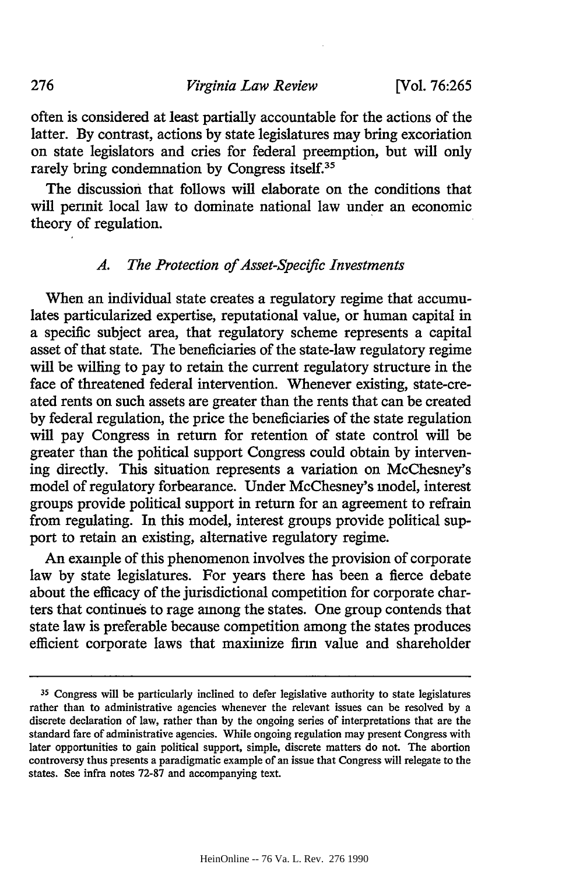often is considered at least partially accountable for the actions of the latter. By contrast, actions by state legislatures may bring excoriation on state legislators and cries for federal preemption, but will only rarely bring condemnation by Congress itself.<sup>35</sup>

The discussion that follows will elaborate on the conditions that will permit local law to dominate national law under an economic theory of regulation.

## *A. The Protection of Asset-Specific Investments*

When an individual state creates a regulatory regime that accumulates particularized expertise, reputational value, or human capital in a specific subject area, that regulatory scheme represents a capital asset of that state. The beneficiaries of the state-law regulatory regime will be willing to pay to retain the current regulatory structure in the face of threatened federal intervention. Whenever existing, state-created rents on such assets are greater than the rents that can be created by federal regulation, the price the beneficiaries of the state regulation will pay Congress in return for retention of state control will be greater than the political support Congress could obtain by intervening directly. This situation represents a variation on McChesney's model of regulatory forbearance. Under McChesney's model, interest groups provide political support in return for an agreement to refrain from regulating. In this model, interest groups provide political support to retain an existing, alternative regulatory regime.

An example of this phenomenon involves the provision of corporate law by state legislatures. For years there has been a fierce debate about the efficacy of the jurisdictional competition for corporate charters that continues to rage among the states. One group contends that state law is preferable because competition among the states produces efficient corporate laws that maximize firm value and shareholder

**<sup>35</sup>**Congress will be particularly inclined to defer legislative authority to state legislatures rather than to administrative agencies whenever the relevant issues can be resolved by a discrete declaration of law, rather than by the ongoing series of interpretations that are the standard fare of administrative agencies. While ongoing regulation may present Congress with later opportunities to gain political support, simple, discrete matters do not. The abortion controversy thus presents a paradigmatic example of an issue that Congress will relegate to the states. See infra notes 72-87 and accompanying text.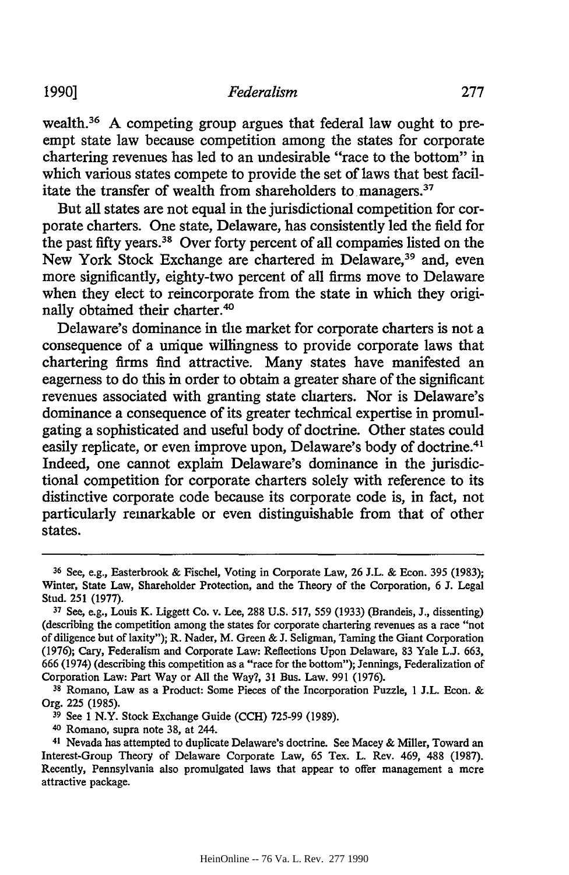wealth.36 A competing group argues that federal law ought to preempt state law because competition among the states for corporate chartering revenues has led to an undesirable "race to the bottom" in which various states compete to provide the set of laws that best facilitate the transfer of wealth from shareholders to managers.<sup>37</sup>

But all states are not equal in the jurisdictional competition for corporate charters. One state, Delaware, has consistently led the field for the past fifty years.38 Over forty percent of all companies listed on the New York Stock Exchange are chartered in Delaware,<sup>39</sup> and, even more significantly, eighty-two percent of all firms move to Delaware when they elect to reincorporate from the state in which they originally obtained their charter.<sup>40</sup>

Delaware's dominance in the market for corporate charters is not a consequence of a unique willingness to provide corporate laws that chartering firms find attractive. Many states have manifested an eagerness to do this in order to obtain a greater share of the significant revenues associated with granting state charters. Nor is Delaware's dominance a consequence of its greater technical expertise in promulgating a sophisticated and useful body of doctrine. Other states could easily replicate, or even improve upon, Delaware's body of doctrine.<sup>41</sup> Indeed, one cannot explain Delaware's dominance in the jurisdictional competition for corporate charters solely with reference to its distinctive corporate code because its corporate code is, in fact, not particularly remarkable or even distinguishable from that of other states.

**<sup>36</sup>**See, e.g., Easterbrook & Fischel, Voting in Corporate Law, 26 J.L. & Econ. 395 (1983); Winter, State Law, Shareholder Protection, and the Theory of the Corporation, 6 J. Legal Stud. 251 (1977).

**<sup>37</sup>**See, e.g., Louis K. Liggett Co. v. Lee, 288 U.S. 517, 559 (1933) (Brandeis, J., dissenting) (describing the competition among the states for corporate chartering revenues as a race "not of diligence but of laxity"); R. Nader, M. Green **& J.** Seligman, Taming the Giant Corporation **(1976);** Cary, Federalism and Corporate Law: Reflections Upon Delaware, **83** Yale L.J. **663, 666** (1974) (describing this competition as a "race for the bottom"); Jennings, Federalization of Corporation Law: Part Way or **All** the Way?, **31** Bus. Law. **991 (1976).**

**<sup>3</sup>s** Romano, Law as a Product: Some Pieces of the Incorporation Puzzle, 1 J.L. Econ. & Org. 225 (1985).

**<sup>39</sup>**See **I** N.Y. Stock Exchange Guide (CCH) 725-99 (1989).

<sup>40</sup> Romano, supra note 38, at 244.

<sup>41</sup> Nevada has attempted to duplicate Delaware's doctrine. See Macey & Miller, Toward an Interest-Group Theory of Delaware Corporate Law, 65 Tex. L. Rev. 469, 488 (1987). Recently, Pennsylvania also promulgated laws that appear to offer management a mere attractive package.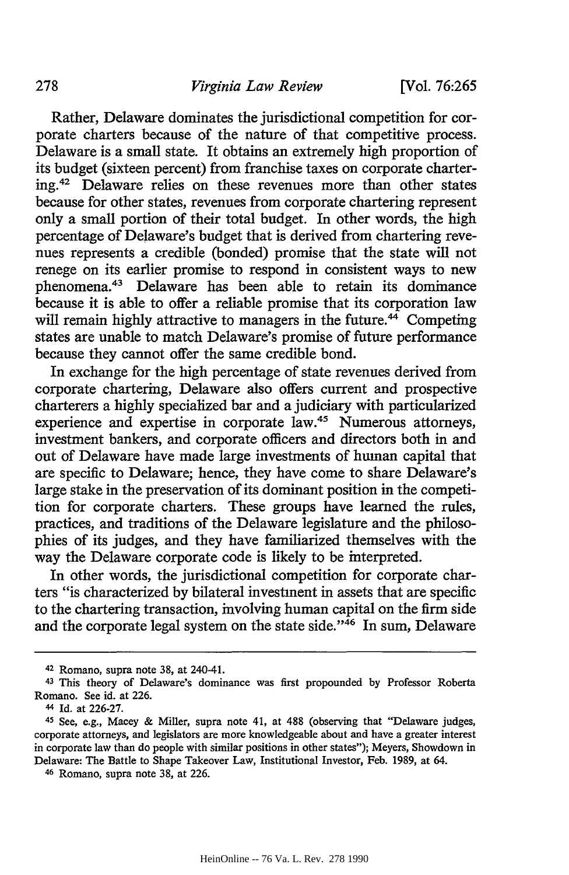#### *Virginia Law Review*

Rather, Delaware dominates the jurisdictional competition for corporate charters because of the nature of that competitive process. Delaware is a small state. It obtains an extremely high proportion of its budget (sixteen percent) from franchise taxes on corporate chartering.42 Delaware relies on these revenues more than other states because for other states, revenues from corporate chartering represent only a small portion of their total budget. In other words, the high percentage of Delaware's budget that is derived from chartering revenues represents a credible (bonded) promise that the state will not renege on its earlier promise to respond in consistent ways to new phenomena. 43 Delaware has been able to retain its dominance because it is able to offer a reliable promise that its corporation law will remain highly attractive to managers in the future. $44$  Competing states are unable to match Delaware's promise of future performance because they cannot offer the same credible bond.

In exchange for the high percentage of state revenues derived from corporate chartering, Delaware also offers current and prospective charterers a highly specialized bar and a judiciary with particularized experience and expertise in corporate law.45 Numerous attorneys, investment bankers, and corporate officers and directors both in and out of Delaware have made large investments of human capital that are specific to Delaware; hence, they have come to share Delaware's large stake in the preservation of its dominant position in the competition for corporate charters. These groups have learned the rules, practices, and traditions of the Delaware legislature and the philosophies of its judges, and they have familiarized themselves with the way the Delaware corporate code is likely to be interpreted.

In other words, the jurisdictional competition for corporate charters "is characterized by bilateral investment in assets that are specific to the chartering transaction, involving human capital on the firm side and the corporate legal system on the state side."<sup>46</sup> In sum, Delaware

<sup>42</sup>Romano, supra note 38, at 240-41.

<sup>43</sup> This theory of Delaware's dominance was first propounded by Professor Roberta Romano. See id. at 226.

<sup>44</sup>Id. at 226-27.

<sup>45</sup> See, e.g., Macey & Miller, supra note 41, at 488 (observing that "Delaware judges, corporate attorneys, and legislators are more knowledgeable about and have a greater interest in corporate law than do people with similar positions in other states"); Meyers, Showdown in Delaware: The Battle to Shape Takeover Law, Institutional Investor, Feb. 1989, at 64.

<sup>&</sup>lt;sup>46</sup> Romano, supra note 38, at 226.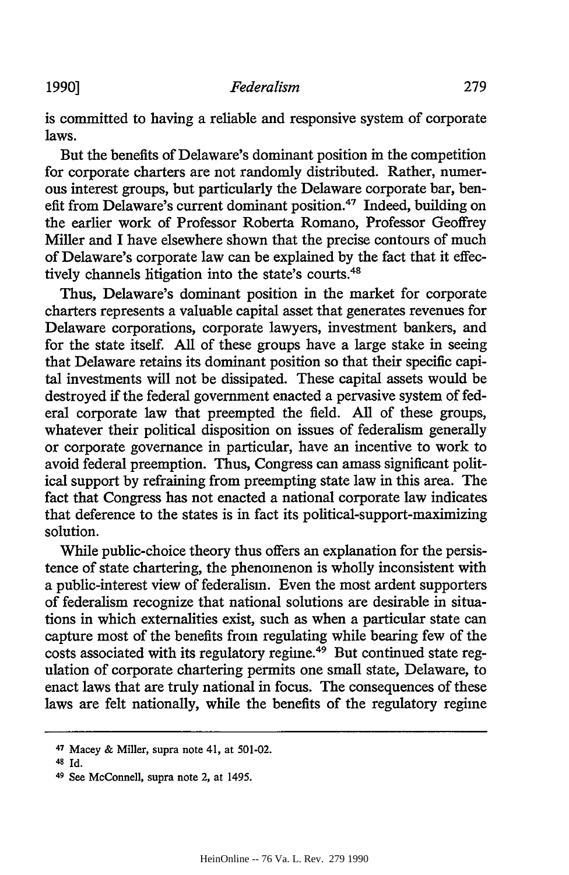is committed to having a reliable and responsive system of corporate laws.

But the benefits of Delaware's dominant position in the competition for corporate charters are not randomly distributed. Rather, numerous interest groups, but particularly the Delaware corporate bar, benefit from Delaware's current dominant position.47 Indeed, building on the earlier work of Professor Roberta Romano, Professor Geoffrey Miller and I have elsewhere shown that the precise contours of much of Delaware's corporate law can be explained by the fact that it effectively channels httigation into the state's courts.<sup>44</sup>

Thus, Delaware's dominant position in the market for corporate charters represents a valuable capital asset that generates revenues for Delaware corporations, corporate lawyers, investment bankers, and for the state itself. All of these groups have a large stake in seeing that Delaware retains its dominant position so that their specific capital investments will not be dissipated. These capital assets would be destroyed if the federal government enacted a pervasive system of federal corporate law that preempted the field. All of these groups, whatever their political disposition on issues of federalism generally or corporate governance in particular, have an incentive to work to avoid federal preemption. Thus, Congress can amass significant political support by refraining from preempting state law in this area. The fact that Congress has not enacted a national corporate law indicates that deference to the states is in fact its political-support-maximizing solution.

While public-choice theory thus offers an explanation for the persistence of state chartering, the phenomenon is wholly inconsistent with a public-interest view of federalism. Even the most ardent supporters of federalism recognize that national solutions are desirable in situations in which externalities exist, such as when a particular state can capture most of the benefits from regulating while bearing few of the costs associated with its regulatory regime.<sup>49</sup> But continued state regulation of corporate chartering permits one small state, Delaware, to enact laws that are truly national in focus. The consequences of these laws are felt nationally, while the benefits of the regulatory regime

**1990]**

**<sup>47</sup>**Macey & Miller, supra note 41, at 501-02.

**<sup>48</sup> Id.**

**<sup>49</sup>**See McConnell, supra note 2, at 1495.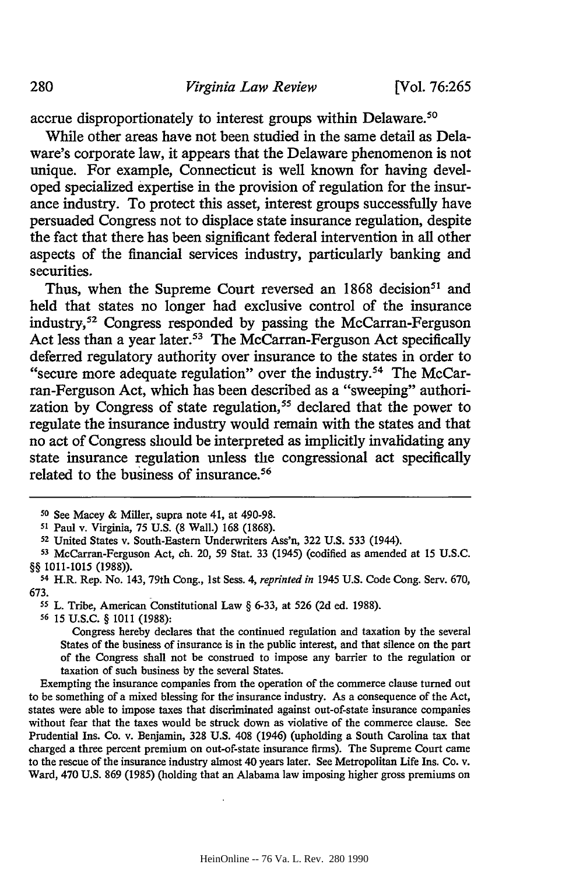accrue disproportionately to interest groups within Delaware.<sup>50</sup>

While other areas have not been studied in the same detail as Delaware's corporate law, it appears that the Delaware phenomenon is not unique. For example, Connecticut is well known for having developed specialized expertise in the provision of regulation for the insurance industry. To protect this asset, interest groups successfully have persuaded Congress not to displace state insurance regulation, despite the fact that there has been significant federal intervention in all other aspects of the financial services industry, particularly banking and securities.

Thus, when the Supreme Court reversed an 1868 decision<sup>51</sup> and held that states no longer had exclusive control of the insurance industry, 52 Congress responded **by** passing the McCarran-Ferguson Act less than a year later.<sup>53</sup> The McCarran-Ferguson Act specifically deferred regulatory authority over insurance to the states in order to "secure more adequate regulation" over the industry.<sup>54</sup> The McCarran-Ferguson Act, which has been described as a "sweeping" authorization by Congress of state regulation,<sup>55</sup> declared that the power to regulate the insurance industry would remain with the states and that no act of Congress should be interpreted as implicitly invalidating any state insurance regulation unless the congressional act specifically related to the business of insurance.<sup>56</sup>

**<sup>56</sup>**15 U.S.C. § 1011 (1988):

Congress hereby declares that the continued regulation and taxation **by** the several States of the business of insurance is in the public interest, and that silence on the part of the Congress shall not be construed to impose any barrier to the regulation or taxation of such business **by** the several States.

Exempting the insurance companies from the operation of the commerce clause turned out to be something of a mixed blessing for the insurance industry. As a consequence of the Act, states were able to impose taxes that discriminated against out-of-state insurance companies without fear that the taxes would be struck down as violative of the commerce clause. See Prudential Ins. Co. v. Benjamin, 328 U.S. 408 (1946) (upholding a South Carolina tax that charged a three percent premium on out-of-state insurance firms). The Supreme Court came to the rescue of the insurance industry almost 40 years later. See Metropolitan Life Ins. Co. v. Ward, 470 U.S. 869 (1985) (holding that an Alabama law imposing higher gross premiums on

**<sup>50</sup>**See Macey **&** Miller, supra note 41, at 490-98.

**<sup>51</sup>** Paul v. Virginia, **75 U.S. (8** Wall.) **168 (1868).**

**<sup>52</sup>**United States v. South-Eastern Underwriters Ass'n, **322 U.S. 533** (1944).

**<sup>53</sup>** McCarran-Ferguson Act, cl. 20, 59 Stat. **33** (1945) (codified as amended at **15 U.S.C.** §§ **1011-1015** (1988)).

<sup>54</sup>H.R. Rep. No. 143, 79th Cong., **1st** Sess. 4, *reprinted in* 1945 U.S. Code Cong. Serv. 670, 673.

**<sup>55</sup>** L. Tribe, American Constitutional Law § 6-33, at 526 (2d ed. 1988).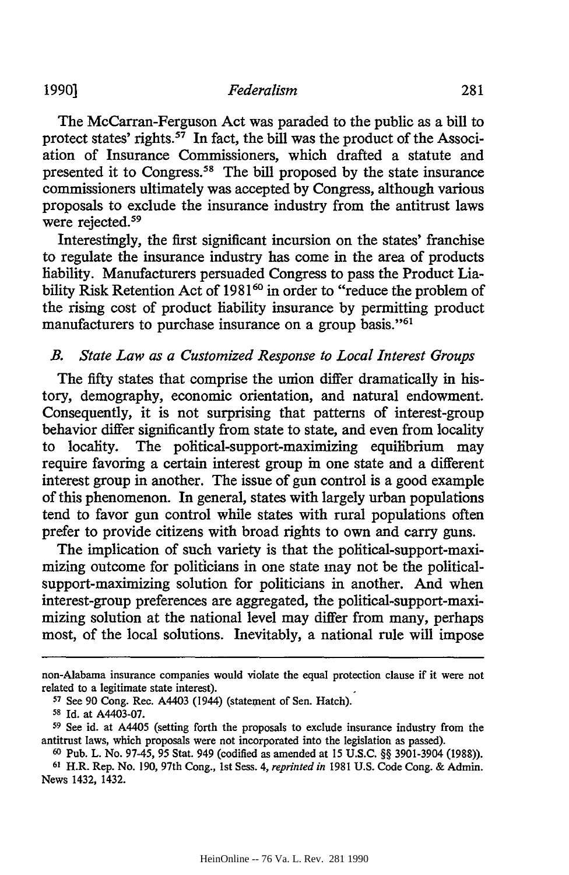The McCarran-Ferguson Act was paraded to the public as a bill to protect states' rights.<sup> $57$ </sup> In fact, the bill was the product of the Association of Insurance Commissioners, which drafted a statute and presented it to Congress.<sup>58</sup> The bill proposed by the state insurance commissioners ultimately was accepted by Congress, although various proposals to exclude the insurance industry from the antitrust laws were rejected.<sup>59</sup>

Interestingly, the first significant incursion on the states' franchise to regulate the insurance industry has come in the area of products liability. Manufacturers persuaded Congress to pass the Product Liability Risk Retention Act of 1981<sup>60</sup> in order to "reduce the problem of the rising cost of product liability insurance by permitting product manufacturers to purchase insurance on a group basis."<sup>61</sup>

## *B. State Law as a Customized Response to Local Interest Groups*

The fifty states that comprise the union differ dramatically in history, demography, economic orientation, and natural endowment. Consequently, it is not surprising that patterns of interest-group behavior differ significantly from state to state, and even from locality to locality. The political-support-maximizing equilibrium may require favoring a certain interest group in one state and a different interest group in another. The issue of gun control is a good example of this phenomenon. In general, states with largely urban populations tend to favor gun control while states with rural populations often prefer to provide citizens with broad rights to own and carry guns.

The implication of such variety is that the political-support-maximizing outcome for politicians in one state may not be the politicalsupport-maximizing solution for politicians in another. And when interest-group preferences are aggregated, the political-support-maximizing solution at the national level may differ from many, perhaps most, of the local solutions. Inevitably, a national rule will impose

non-Alabama insurance companies would violate the equal protection clause if it were not related to a legitimate state interest).

**<sup>57</sup>** See **90** Cong. Rec. A4403 (1944) (statement of Sen. Hatch).

**<sup>58</sup>** Id. at A4403-07.

**<sup>59</sup>** See id. at A4405 (setting forth the proposals to exclude insurance industry from the antitrust laws, which proposals were not incorporated into the legislation as passed).

**<sup>60</sup>**Pub. L. No. **97-45,** 95 Stat. 949 (codified as amended at **15 U.S.C.** §§ 3901-3904 **(1988)). 61** H.R. Rep. No. **190,** 97th Cong., **1st** Sess. *4, reprinted in* **1981 U.S.** Code Cong. **&** Admin.

News 1432, 1432.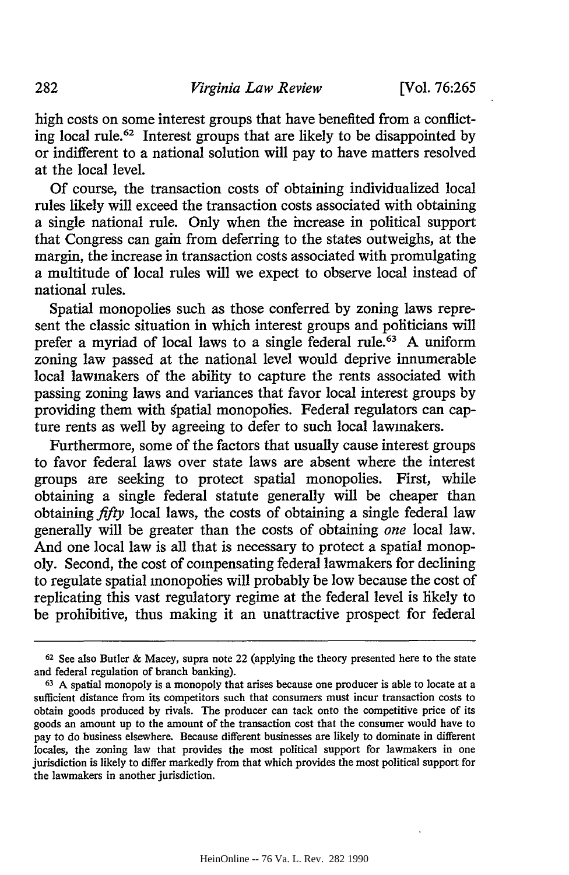high costs on some interest groups that have benefited from a conflicting local rule.62 Interest groups that are likely to be disappointed by or indifferent to a national solution will pay to have matters resolved at the local level.

Of course, the transaction costs of obtaining individualized local rules likely will exceed the transaction costs associated with obtaining a single national rule. Only when the increase in political support that Congress can gain from deferring to the states outweighs, at the margin, the increase in transaction costs associated with promulgating a multitude of local rules will we expect to observe local instead of national rules.

Spatial monopolies such as those conferred by zoning laws represent the classic situation in which interest groups and politicians will prefer a myriad of local laws to a single federal rule.<sup>63</sup> A uniform zoning law passed at the national level would deprive innumerable local lawmakers of the ability to capture the rents associated with passing zoning laws and variances that favor local interest groups by providing them with spatial monopolies. Federal regulators can capture rents as well by agreeing to defer to such local lawmakers.

Furthermore, some of the factors that usually cause interest groups to favor federal laws over state laws are absent where the interest groups are seeking to protect spatial monopolies. First, while obtaining a single federal statute generally will be cheaper than obtaining fifty local laws, the costs of obtaining a single federal law generally will be greater than the costs of obtaining *one* local law. And one local law is all that is necessary to protect a spatial monopoly. Second, the cost of compensating federal lawmakers for declining to regulate spatial monopolies will probably be low because the cost of replicating this vast regulatory regime at the federal level is likely to be prohibitive, thus making it an unattractive prospect for federal

**<sup>62</sup>**See also Butler & Macey, supra note 22 (applying the theory presented here to the state and federal regulation of branch banking).

**<sup>63</sup>**A spatial monopoly is a monopoly that arises because one producer is able to locate at a sufficient distance from its competitors such that consumers must incur transaction costs to obtain goods produced by rivals. The producer can tack onto the competitive price of its goods an amount up to the amount of the transaction cost that the consumer would have to pay to do business elsewhere. Because different businesses are likely to dominate in different locales, the zoning law that provides the most political support for lawmakers in one jurisdiction is likely to differ markedly from that which provides the most political support for the lawmakers in another jurisdiction.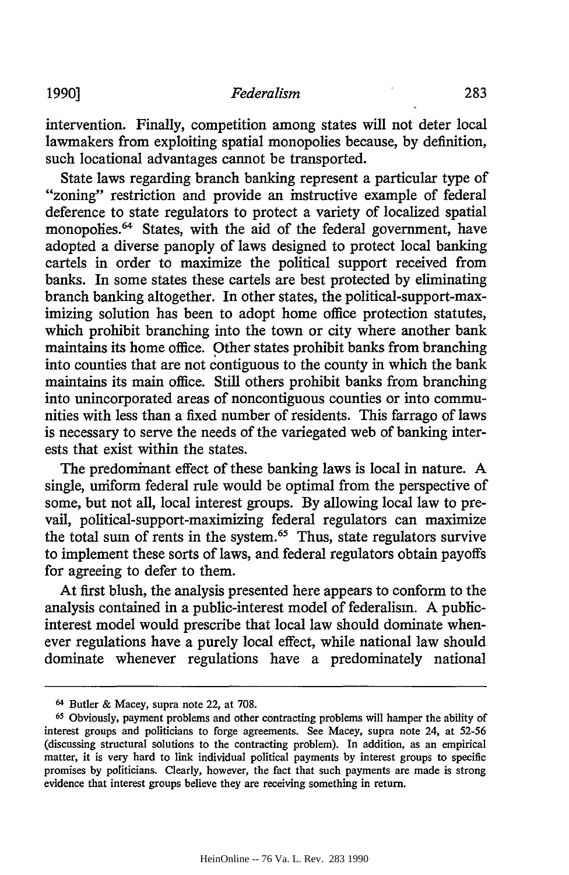intervention. Finally, competition among states will not deter local lawmakers from exploiting spatial monopolies because, by definition, such locational advantages cannot be transported.

State laws regarding branch banking represent a particular type of "zoning" restriction and provide an instructive example of federal deference to state regulators to protect a variety of localized spatial monopolies.<sup>64</sup> States, with the aid of the federal government. have adopted a diverse panoply of laws designed to protect local banking cartels in order to maximize the political support received from banks. In some states these cartels are best protected by eliminating branch banking altogether. In other states, the political-support-maximizing solution has been to adopt home office protection statutes, which prohibit branching into the town or city where another bank maintains its home office. Other states prohibit banks from branching into counties that are not contiguous to the county in which the bank maintains its main office. Still others prohibit banks from branching into unincorporated areas of noncontiguous counties or into communities with less than a fixed number of residents. This farrago of laws is necessary to serve the needs of the variegated web of banking interests that exist within the states.

The predominant effect of these banking laws is local in nature. A single, uniform federal rule would be optimal from the perspective of some, but not all, local interest groups. By allowing local law to prevail, political-support-maximizing federal regulators can maximize the total sum of rents in the system.65 Thus, state regulators survive to implement these sorts of laws, and federal regulators obtain payoffs for agreeing to defer to them.

At first blush, the analysis presented here appears to conform to the analysis contained in a public-interest model of federalism. A publicinterest model would prescribe that local law should dominate whenever regulations have a purely local effect, while national law should dominate whenever regulations have a predominately national

<sup>&</sup>lt;sup>64</sup> Butler & Macey, supra note 22, at 708.

**<sup>65</sup>** Obviously, payment problems and other contracting problems will hamper the ability of interest groups and politicians to forge agreements. See Macey, supra note 24, at 52-56 (discussing structural solutions to the contracting problem). In addition, as an empirical matter, it is very hard to link individual political payments by interest groups to specific promises by politicians. Clearly, however, the fact that such payments are made is strong evidence that interest groups believe they are receiving something in return.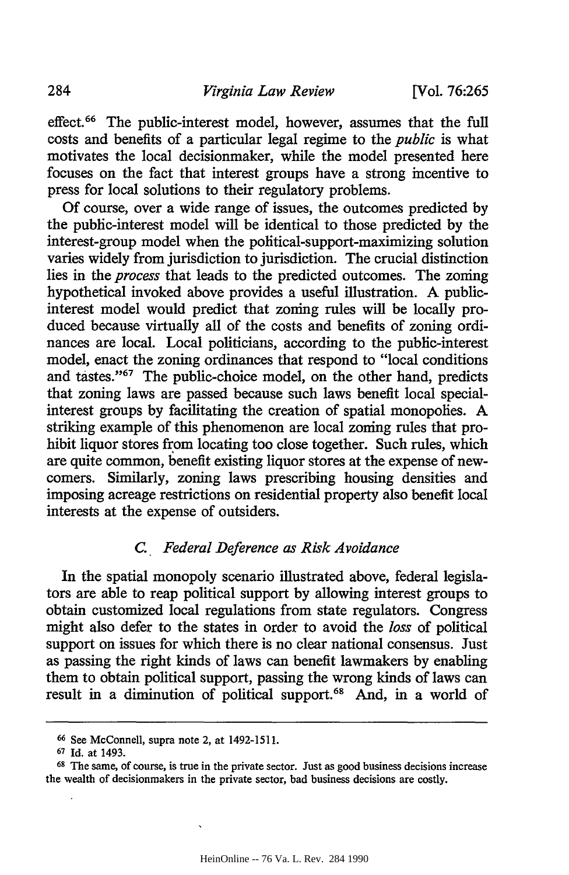effect.<sup>66</sup> The public-interest model, however, assumes that the full costs and benefits of a particular legal regime to the *public* is what motivates the local decisionmaker, while the model presented here focuses on the fact that interest groups have a strong incentive to press for local solutions to their regulatory problems.

Of course, over a wide range of issues, the outcomes predicted by the public-interest model will be identical to those predicted by the interest-group model when the political-support-maximizing solution varies widely from jurisdiction to jurisdiction. The crucial distinction lies in the *process* that leads to the predicted outcomes. The zoning hypothetical invoked above provides a useful illustration. A publicinterest model would predict that zoning rules will be locally produced because virtually all of the costs and benefits of zoning ordinances are local. Local politicians, according to the public-interest model, enact the zoning ordinances that respond to "local conditions and tastes."<sup>67</sup> The public-choice model, on the other hand, predicts that zoning laws are passed because such laws benefit local specialinterest groups by facilitating the creation of spatial monopolies. A striking example of this phenomenon are local zoning rules that prohibit liquor stores from locating too close together. Such rules, which are quite common, benefit existing liquor stores at the expense of newcomers. Similarly, zoning laws prescribing housing densities and imposing acreage restrictions on residential property also benefit local interests at the expense of outsiders.

#### *C. Federal Deference as Risk Avoidance*

In the spatial monopoly scenario illustrated above, federal legislators are able to reap political support by allowing interest groups to obtain customized local regulations from state regulators. Congress might also defer to the states in order to avoid the *loss* of political support on issues for which there is no clear national consensus. Just as passing the right kinds of laws can benefit lawmakers by enabling them to obtain political support, passing the wrong kinds of laws can result in a diminution of political support.68 And, in a world of

**<sup>66</sup>**See McConnell, supra note 2, at 1492-1511.

**<sup>67</sup>**Id. at 1493.

**<sup>68</sup>** The same, of course, is true in the private sector. Just as good business decisions increase the wealth of decisionmakers in the private sector, bad business decisions are costly.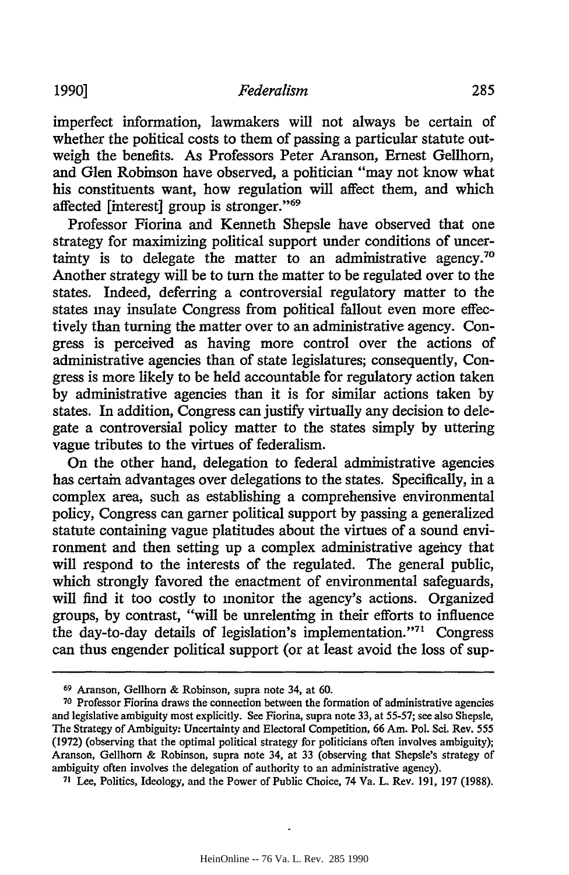imperfect information, lawmakers will not always be certain of whether the political costs to them of passing a particular statute outweigh the benefits. As Professors Peter Aranson, Ernest Gellhorn, and Glen Robinson have observed, a politician "may not know what his constituents want, how regulation will affect them, and which affected [interest] group is stronger. **"69**

Professor Fiorina and Kenneth Shepsle have observed that one strategy for maximizing political support under conditions of uncertainty is to delegate the matter to an administrative agency.<sup>70</sup> Another strategy will be to turn the matter to be regulated over to the states. Indeed, deferring a controversial regulatory matter to the states may insulate Congress from political fallout even more effectively than turning the matter over to an administrative agency. Congress is perceived as having more control over the actions of administrative agencies than of state legislatures; consequently, Congress is more likely to be held accountable for regulatory action taken by administrative agencies than it is for similar actions taken by states. In addition, Congress can justify virtually any decision to delegate a controversial policy matter to the states simply by uttering vague tributes to the virtues of federalism.

On the other hand, delegation to federal administrative agencies has certain advantages over delegations to the states. Specifically, in a complex area, such as establishing a comprehensive environmental policy, Congress can garner political support by passing a generalized statute containing vague platitudes about the virtues of a sound environment and then setting up a complex administrative agehcy that will respond to the interests of the regulated. The general public, which strongly favored the enactment of environmental safeguards, will find it too costly to monitor the agency's actions. Organized groups, by contrast, "will be unrelenting in their efforts to influence the day-to-day details of legislation's implementation."<sup>71</sup> Congress can thus engender political support (or at least avoid the loss of sup-

<sup>69</sup>Aranson, Gellhorn & Robinson, supra note 34, at 60.

**<sup>70</sup>**Professor Fiorina draws the connection between the formation of administrative agencies and legislative ambiguity most explicitly. See Fiorina, supra note 33, at 55-57; see also Shepsle, The Strategy of Ambiguity: Uncertainty and Electoral Competition, 66 Am. Pol. Sci. Rev. 555 (1972) (observing that the optimal political strategy for politicians often involves ambiguity); Aranson, Gellhorn & Robinson, supra note 34, at 33 (observing that Shepsle's strategy of ambiguity often involves the delegation of authority to an administrative agency).

**<sup>71</sup>**Lee, Politics, Ideology, and the Power of Public Choice, 74 Va. L. Rev. 191, 197 (1988).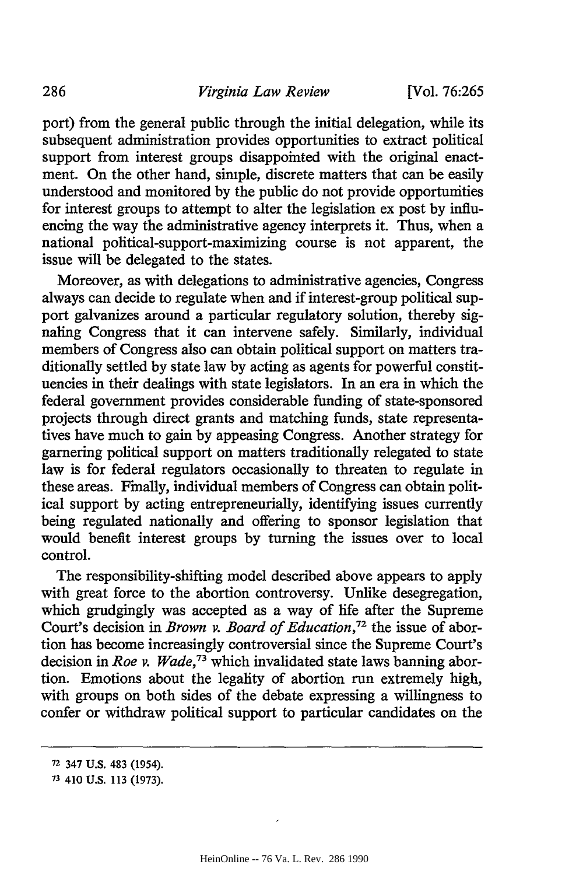port) from the general public through the initial delegation, while its subsequent administration provides opportunities to extract political support from interest groups disappointed with the original enactment. On the other hand, simple, discrete matters that can be easily understood and monitored by the public do not provide opportunities for interest groups to attempt to alter the legislation ex post by influencing the way the administrative agency interprets it. Thus, when a national political-support-maximizing course is not apparent, the issue will be delegated to the states.

Moreover, as with delegations to administrative agencies, Congress always can decide to regulate when and if interest-group political support galvanizes around a particular regulatory solution, thereby signaling Congress that it can intervene safely. Similarly, individual members of Congress also can obtain political support on matters traditionally settled by state law by acting as agents for powerful constituencies in their dealings with state legislators. In an era in which the federal government provides considerable funding of state-sponsored projects through direct grants and matching funds, state representatives have much to gain by appeasing Congress. Another strategy for garnering political support on matters traditionally relegated to state law is for federal regulators occasionally to threaten to regulate in these areas. Finally, individual members of Congress can obtain political support by acting entrepreneurially, identifying issues currently being regulated nationally and offering to sponsor legislation that would benefit interest groups by turning the issues over to local control.

The responsibility-shifting model described above appears to apply with great force to the abortion controversy. Unlike desegregation, which grudgingly was accepted as a way of life after the Supreme Court's decision in *Brown v. Board of Education,72* the issue of abortion has become increasingly controversial since the Supreme Court's decision in *Roe v. Wade,7 <sup>3</sup>*which invalidated state laws banning abortion. Emotions about the legality of abortion run extremely high, with groups on both sides of the debate expressing a willingness to confer or withdraw political support to particular candidates on the

**<sup>72</sup>**347 U.S. 483 (1954).

**<sup>73</sup>**410 U.S. 113 (1973).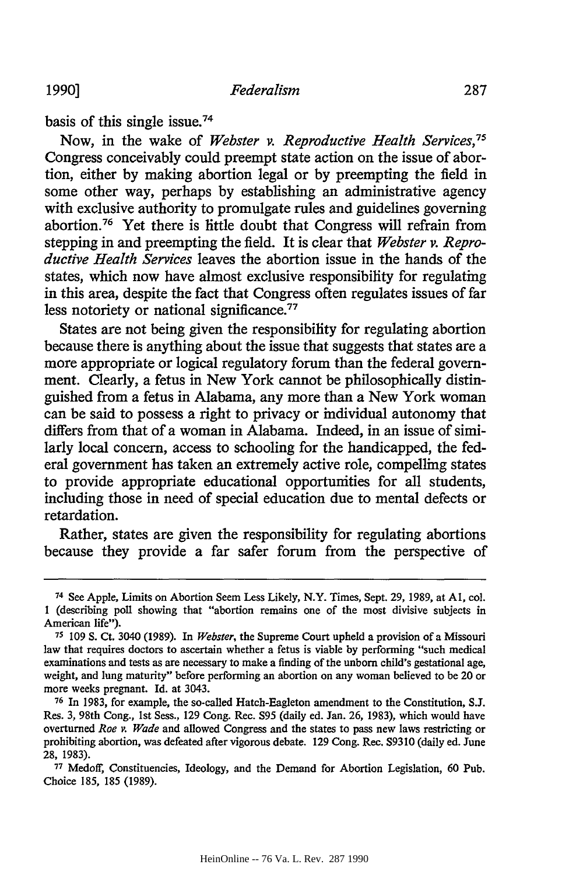**1990]**

basis of this single issue.<sup>74</sup>

Now, in the wake of *Webster v. Reproductive Health Services, <sup>7</sup>* Congress conceivably could preempt state action on the issue of abortion, either by making abortion legal or by preempting the field in some other way, perhaps by establishing an administrative agency with exclusive authority to promulgate rules and guidelines governing abortion.76 Yet there is little doubt that Congress will refrain from stepping in and preempting the field. It is clear that *Webster v. Reproductive Health Services* leaves the abortion issue in the hands of the states, which now have almost exclusive responsibility for regulating in this area, despite the fact that Congress often regulates issues of far less notoriety or national significance.<sup>77</sup>

States are not being given the responsibility for regulating abortion because there is anything about the issue that suggests that states are a more appropriate or logical regulatory forum than the federal government. Clearly, a fetus in New York cannot be philosophically distinguished from a fetus in Alabama, any more than a New York woman can be said to possess a right to privacy or individual autonomy that differs from that of a woman in Alabama. Indeed, in an issue of similarly local concern, access to schooling for the handicapped, the federal government has taken an extremely active role, compelling states to provide appropriate educational opportunities for all students, including those in need of special education due to mental defects or retardation.

Rather, states are given the responsibility for regulating abortions because they provide a far safer forum from the perspective of

**<sup>74</sup>**See Apple, Limits on Abortion Seem Less Likely, N.Y. Times, Sept. 29, 1989, at **AI,** col. 1 (describing poll showing that "abortion remains one of the most divisive subjects in American life").

**<sup>75</sup>**109 **S.** Ct. 3040 (1989). In *Webster,* the Supreme Court upheld a provision of a Missouri law that requires doctors to ascertain whether a fetus is viable by performing "such medical examinations and tests as are necessary to make a finding of the unborn child's gestational age, weight, and lung maturity" before performing an abortion on any woman believed to be 20 or more weeks pregnant. Id. at 3043.

**<sup>76</sup>**In 1983, for example, the so-called Hatch-Eagleton amendment to the Constitution, S.J. Res. 3, 98th Cong., 1st Sess., 129 Cong. Rec. **S95** (daily ed. Jan. 26, 1983), which would have overturned *Roe v. Wade* and allowed Congress and the states to pass new laws restricting or prohibiting abortion, was defeated after vigorous debate. 129 Cong. Rec. 59310 (daily ed. June 28, 1983).

**<sup>77</sup>**Medoff, Constituencies, Ideology, and the Demand for Abortion Legislation, 60 Pub. Choice 185, 185 (1989).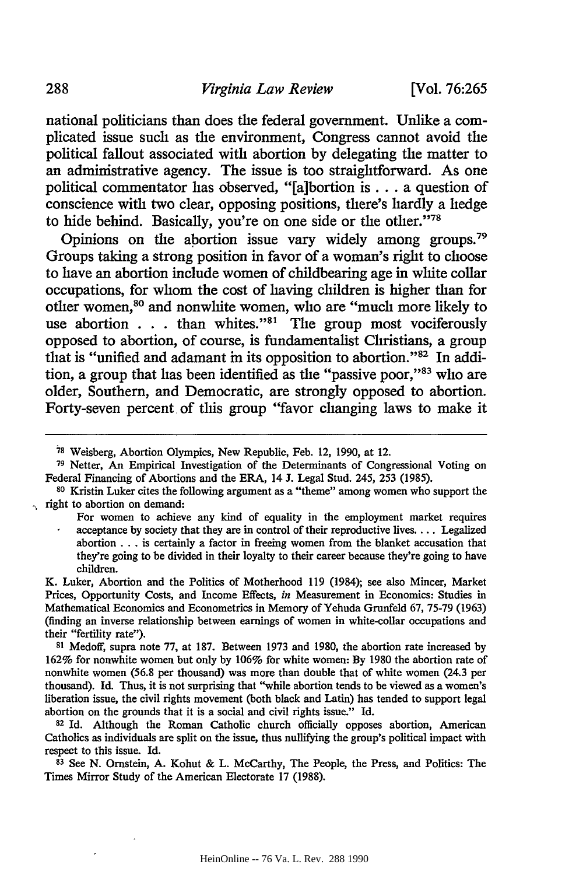national politicians than does the federal government. Unlike a complicated issue such as the environment, Congress cannot avoid the political fallout associated with abortion by delegating the matter to an administrative agency. The issue is too straightforward. As one political commentator has observed, "[a]bortion is... a question of conscience with two clear, opposing positions, there's hardly a hedge to hide behind. Basically, you're on one side or the other."78

Opinions on the abortion issue vary widely among groups.<sup>79</sup> Groups taking a strong position in favor of a woman's right to choose to have an abortion include women of childbearing age in white collar occupations, for whom the cost of having children is higher than for other women, 80 and nonwhite women, who are "much more likely to use abortion **.** . . than whites."81 The group most vociferously opposed to abortion, of course, is fundamentalist Christians, a group that is "unified and adamant in its opposition to abortion."<sup>82</sup> In addition, a group that has been identified as the "passive poor,"83 who are older, Southern, and Democratic, are strongly opposed to abortion. Forty-seven percent of this group "favor changing laws to make it

K. Luker, Abortion and the Politics of Motherhood 119 (1984); see also Mincer, Market Prices, Opportunity Costs, and Income Effects, *in* Measurement in Economics: Studies in Mathematical Economics and Econometrics in Memory of Yehuda Grunfeld 67, 75-79 (1963) (finding an inverse relationship between earnings of women in white-collar occupations and their "fertility rate").

**81** MedofF, supra note 77, at 187. Between 1973 and 1980, the abortion rate increased by 162% for nonwhite women but only by 106% for white women: By 1980 the abortion rate of nonwhite women (56.8 per thousand) was more than double that of white women (24.3 per thousand). Id. Thus, it is not surprising that "while abortion tends to be viewed as a women's liberation issue, the civil rights movement (both black and Latin) has tended to support legal abortion on the grounds that it is a social and civil rights issue." Id.

**<sup>82</sup>**Id. Although the Roman Catholic church officially opposes abortion, American Catholics as individuals are split on the issue, thus nullifying the group's political impact with respect to this issue. Id.

**<sup>83</sup>**See N. Ornstein, A. Kohut & L. McCarthy, The People, the Press, and Politics: The Times Mirror Study of the American Electorate 17 (1988).

**s** Weisberg, Abortion Olympics, New Republic, Feb. 12, 1990, at 12.

**<sup>79</sup>**Netter, An Empirical Investigation of the Determinants of Congressional Voting on Federal Financing of Abortions and the ERA, 14 **J.** Legal Stud. 245, 253 (1985).

**<sup>80</sup>**Kristin Luker cites the following argument as a "theme" among women who support the right to abortion on demand:

For women to achieve any kind of equality in the employment market requires acceptance by society that they are in control of their reproductive lives.... Legalized abortion **...** is certainly a factor in freeing women from the blanket accusation that they're going to be divided in their loyalty to their career because they're going to have children.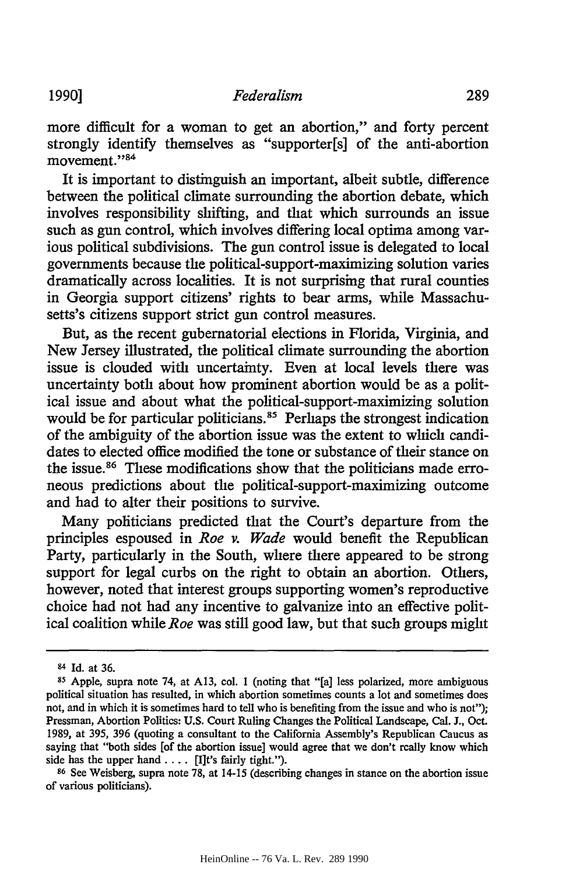more difficult for a woman to get an abortion," and forty percent strongly identify themselves as "supporter[s] of the anti-abortion movement."<sup>84</sup>

It is important to distinguish an important, albeit subtle, difference between the political climate surrounding the abortion debate, which involves responsibility shifting, and that which surrounds an issue such as gun control, which involves differing local optima among various political subdivisions. The gun control issue is delegated to local governments because the political-support-maximizing solution varies dramatically across localities. It is not surprising that rural counties in Georgia support citizens' rights to bear arms, while Massachusetts's citizens support strict gun control measures.

But, as the recent gubernatorial elections in Florida, Virginia, and New Jersey illustrated, the political climate surrounding the abortion issue is clouded with uncertainty. Even at local levels there was uncertainty both about how prominent abortion would be as a political issue and about what the political-support-maximizing solution would be for particular politicians.<sup>85</sup> Perhaps the strongest indication of the ambiguity of the abortion issue was the extent to which candidates to elected office modified the tone or substance of their stance on the issue.<sup>86</sup> These modifications show that the politicians made erroneous predictions about the political-support-maximizing outcome and had to alter their positions to survive.

Many politicians predicted that the Court's departure from the principles espoused in *Roe v. Wade* would benefit the Republican Party, particularly in the South, where there appeared to be strong support for legal curbs on the right to obtain an abortion. Others, however, noted that interest groups supporting women's reproductive choice had not had any incentive to galvanize into an effective political coalition while *Roe* was still good law, but that such groups might

<sup>84</sup>Id. at 36.

**<sup>85</sup>**Apple, supra note 74, at A13, col. I (noting that "[a] less polarized, more ambiguous political situation has resulted, in which abortion sometimes counts a lot and sometimes does not, and in which it is sometimes hard to tell who is benefiting from the issue and who is not"); Pressman, Abortion Politics: U.S. Court Ruling Changes the Political Landscape, Cal. J., Oct. 1989, at 395, 396 (quoting a consultant to the California Assembly's Republican Caucus as saying that "both sides [of the abortion issue] would agree that we don't really know which side has the upper hand  $\ldots$  [I]t's fairly tight.").

**<sup>86</sup>**See Weisberg, supra note 78, at 14-15 (describing changes in stance on the abortion issue of various politicians).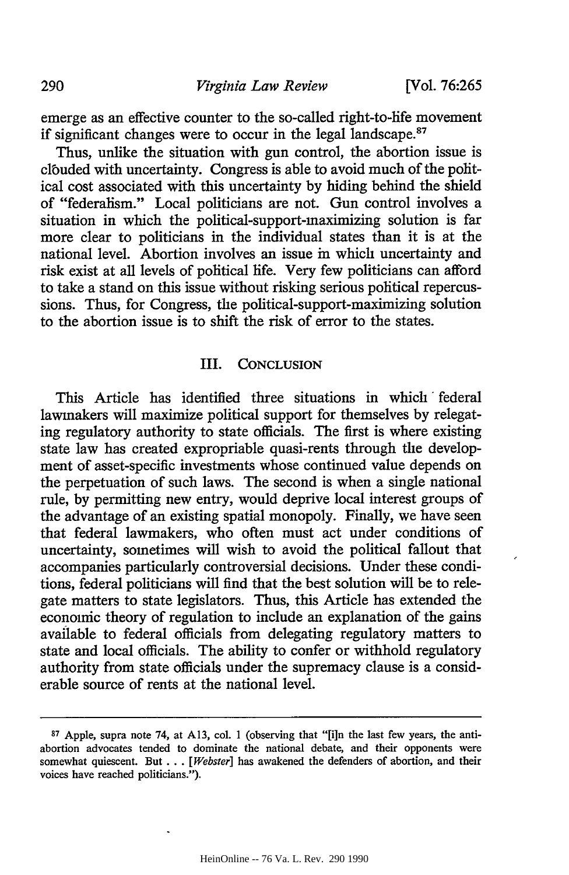emerge as an effective counter to the so-called right-to-life movement if significant changes were to occur in the legal landscape.<sup>87</sup>

Thus, unlike the situation with gun control, the abortion issue is clouded with uncertainty. Congress is able to avoid much of the political cost associated with this uncertainty by hiding behind the shield of "federalism." Local politicians are not. Gun control involves a situation in which the political-support-maximizing solution is far more clear to politicians in the individual states than it is at the national level. Abortion involves an issue in which uncertainty and risk exist at all levels of political life. Very few politicians can afford to take a stand on this issue without risking serious political repercussions. Thus, for Congress, the political-support-maximizing solution to the abortion issue is to shift the risk of error to the states.

#### III. CONCLUSION

This Article has identified three situations in which'federal lawmakers will maximize political support for themselves by relegating regulatory authority to state officials. The first is where existing state law has created expropriable quasi-rents through the development of asset-specific investments whose continued value depends on the perpetuation of such laws. The second is when a single national rule, by permitting new entry, would deprive local interest groups of the advantage of an existing spatial monopoly. Finally, we have seen that federal lawmakers, who often must act under conditions of uncertainty, sometimes will wish to avoid the political fallout that accompanies particularly controversial decisions. Under these conditions, federal politicians will find that the best solution will be to relegate matters to state legislators. Thus, this Article has extended the economic theory of regulation to include an explanation of the gains available to federal officials from delegating regulatory matters to state and local officials. The ability to confer or withhold regulatory authority from state officials under the supremacy clause is a considerable source of rents at the national level.

**<sup>87</sup>** Apple, supra note 74, at A13, col. **1** (observing that "[i]n the last few years, the antiabortion advocates tended to dominate the national debate, and their opponents were somewhat quiescent. But... *[Webster]* has awakened the defenders of abortion, and their voices have reached politicians.").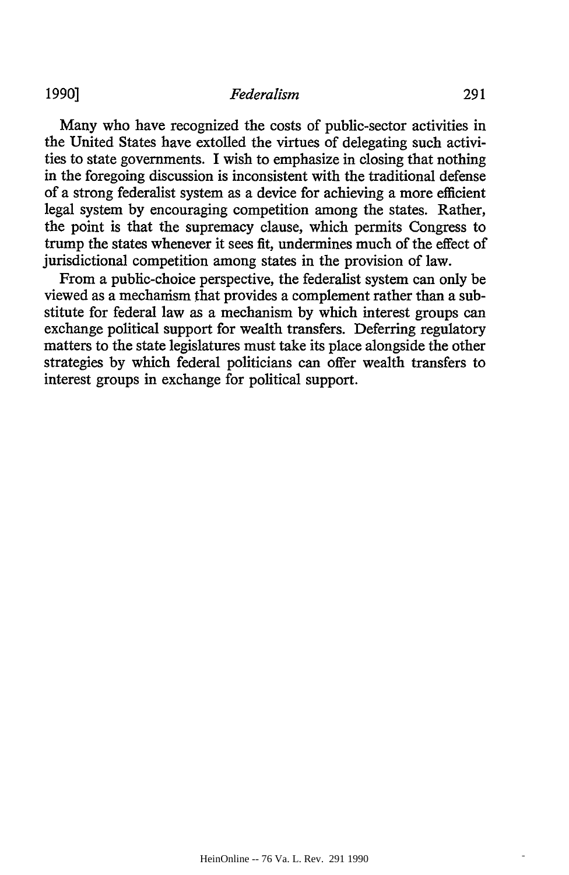#### 1990] *Federalism* 291

Many who have recognized the costs of public-sector activities in the United States have extolled the virtues of delegating such activities to state governments. I wish to emphasize in closing that nothing in the foregoing discussion is inconsistent with the traditional defense of a strong federalist system as a device for achieving a more efficient legal system by encouraging competition among the states. Rather, the point is that the supremacy clause, which permits Congress to trump the states whenever it sees fit, undermines much of the effect of jurisdictional competition among states in the provision of law.

From a public-choice perspective, the federalist system can only be viewed as a mechanism that provides a complement rather than a substitute for federal law as a mechanism by which interest groups can exchange political support for wealth transfers. Deferring regulatory matters to the state legislatures must take its place alongside the other strategies by which federal politicians can offer wealth transfers to interest groups in exchange for political support.